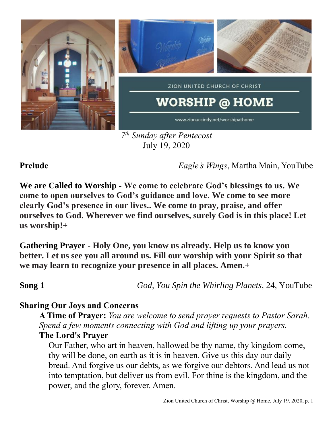

*7 th Sunday after Pentecost* July 19, 2020

**Prelude** *Eagle's Wings*, Martha Main, YouTube

**We are Called to Worship - We come to celebrate God's blessings to us. We come to open ourselves to God's guidance and love. We come to see more clearly God's presence in our lives.. We come to pray, praise, and offer ourselves to God. Wherever we find ourselves, surely God is in this place! Let us worship!+**

**Gathering Prayer** - **Holy One, you know us already. Help us to know you better. Let us see you all around us. Fill our worship with your Spirit so that we may learn to recognize your presence in all places. Amen.+**

**Song 1** *God, You Spin the Whirling Planets,* 24, YouTube

# **Sharing Our Joys and Concerns**

**A Time of Prayer:** *You are welcome to send prayer requests to Pastor Sarah. Spend a few moments connecting with God and lifting up your prayers.*

## **The Lord's Prayer**

Our Father, who art in heaven, hallowed be thy name, thy kingdom come, thy will be done, on earth as it is in heaven. Give us this day our daily bread. And forgive us our debts, as we forgive our debtors. And lead us not into temptation, but deliver us from evil. For thine is the kingdom, and the power, and the glory, forever. Amen.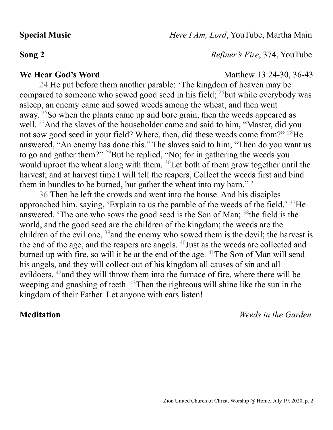**Special Music** *Here I Am, Lord*, YouTube, Martha Main

**Song 2** *Refiner's Fire*, 374, YouTube

### **We Hear God's Word** Matthew 13:24-30, 36-43

24 He put before them another parable: 'The kingdom of heaven may be compared to someone who sowed good seed in his field; <sup>25</sup>but while everybody was asleep, an enemy came and sowed weeds among the wheat, and then went away. <sup>26</sup>So when the plants came up and bore grain, then the weeds appeared as well. <sup>27</sup>And the slaves of the householder came and said to him, "Master, did you not sow good seed in your field? Where, then, did these weeds come from?" <sup>28</sup>He answered, "An enemy has done this." The slaves said to him, "Then do you want us to go and gather them?" <sup>29</sup>But he replied, "No; for in gathering the weeds you would uproot the wheat along with them. <sup>30</sup>Let both of them grow together until the harvest; and at harvest time I will tell the reapers, Collect the weeds first and bind them in bundles to be burned, but gather the wheat into my barn." '

36 Then he left the crowds and went into the house. And his disciples approached him, saying, 'Explain to us the parable of the weeds of the field.' <sup>37</sup>He answered, 'The one who sows the good seed is the Son of Man; <sup>38</sup>the field is the world, and the good seed are the children of the kingdom; the weeds are the children of the evil one, <sup>39</sup>and the enemy who sowed them is the devil; the harvest is the end of the age, and the reapers are angels. <sup>40</sup>Just as the weeds are collected and burned up with fire, so will it be at the end of the age.  $41$ The Son of Man will send his angels, and they will collect out of his kingdom all causes of sin and all evildoers, <sup>42</sup>and they will throw them into the furnace of fire, where there will be weeping and gnashing of teeth. <sup>43</sup>Then the righteous will shine like the sun in the kingdom of their Father. Let anyone with ears listen!

**Meditation** *Weeds in the Garden*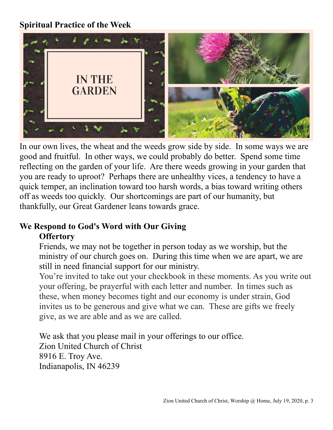## **Spiritual Practice of the Week**



In our own lives, the wheat and the weeds grow side by side. In some ways we are good and fruitful. In other ways, we could probably do better. Spend some time reflecting on the garden of your life. Are there weeds growing in your garden that you are ready to uproot? Perhaps there are unhealthy vices, a tendency to have a quick temper, an inclination toward too harsh words, a bias toward writing others off as weeds too quickly. Our shortcomings are part of our humanity, but thankfully, our Great Gardener leans towards grace.

## **We Respond to God's Word with Our Giving Offertory**

Friends, we may not be together in person today as we worship, but the ministry of our church goes on. During this time when we are apart, we are still in need financial support for our ministry.

You're invited to take out your checkbook in these moments. As you write out your offering, be prayerful with each letter and number. In times such as these, when money becomes tight and our economy is under strain, God invites us to be generous and give what we can. These are gifts we freely give, as we are able and as we are called.

We ask that you please mail in your offerings to our office. Zion United Church of Christ 8916 E. Troy Ave. Indianapolis, IN 46239